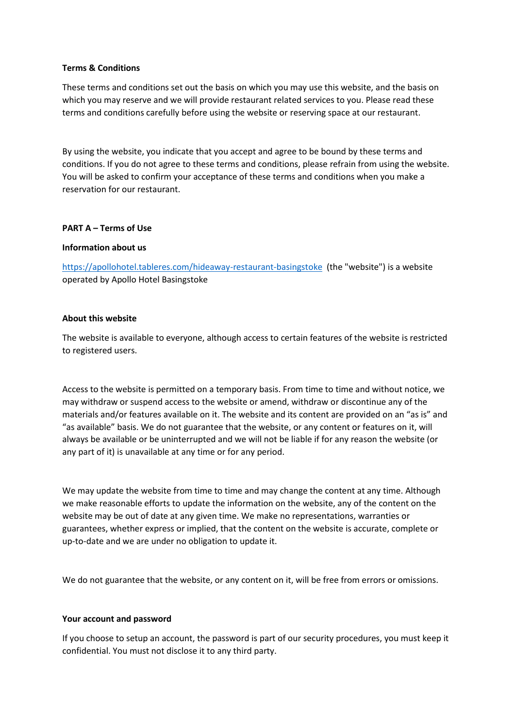### **Terms & Conditions**

These terms and conditions set out the basis on which you may use this website, and the basis on which you may reserve and we will provide restaurant related services to you. Please read these terms and conditions carefully before using the website or reserving space at our restaurant.

By using the website, you indicate that you accept and agree to be bound by these terms and conditions. If you do not agree to these terms and conditions, please refrain from using the website. You will be asked to confirm your acceptance of these terms and conditions when you make a reservation for our restaurant.

### **PART A – Terms of Use**

### **Information about us**

<https://apollohotel.tableres.com/hideaway-restaurant-basingstoke> (the "website") is a website operated by Apollo Hotel Basingstoke

### **About this website**

The website is available to everyone, although access to certain features of the website is restricted to registered users.

Access to the website is permitted on a temporary basis. From time to time and without notice, we may withdraw or suspend access to the website or amend, withdraw or discontinue any of the materials and/or features available on it. The website and its content are provided on an "as is" and "as available" basis. We do not guarantee that the website, or any content or features on it, will always be available or be uninterrupted and we will not be liable if for any reason the website (or any part of it) is unavailable at any time or for any period.

We may update the website from time to time and may change the content at any time. Although we make reasonable efforts to update the information on the website, any of the content on the website may be out of date at any given time. We make no representations, warranties or guarantees, whether express or implied, that the content on the website is accurate, complete or up-to-date and we are under no obligation to update it.

We do not guarantee that the website, or any content on it, will be free from errors or omissions.

#### **Your account and password**

If you choose to setup an account, the password is part of our security procedures, you must keep it confidential. You must not disclose it to any third party.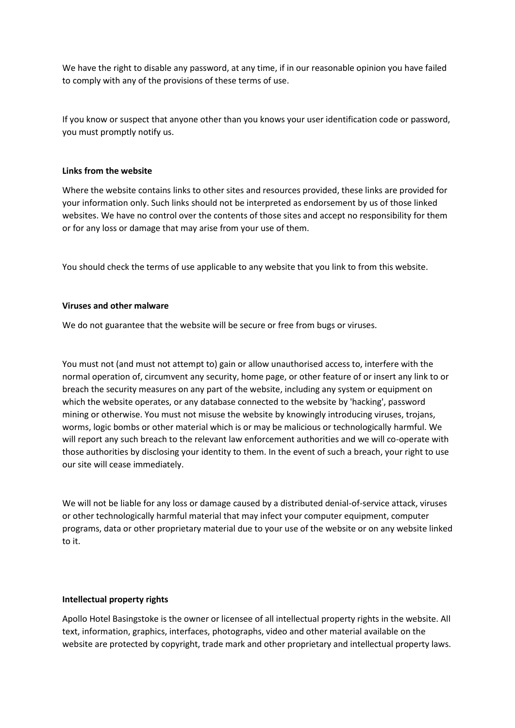We have the right to disable any password, at any time, if in our reasonable opinion you have failed to comply with any of the provisions of these terms of use.

If you know or suspect that anyone other than you knows your user identification code or password, you must promptly notify us.

### **Links from the website**

Where the website contains links to other sites and resources provided, these links are provided for your information only. Such links should not be interpreted as endorsement by us of those linked websites. We have no control over the contents of those sites and accept no responsibility for them or for any loss or damage that may arise from your use of them.

You should check the terms of use applicable to any website that you link to from this website.

### **Viruses and other malware**

We do not guarantee that the website will be secure or free from bugs or viruses.

You must not (and must not attempt to) gain or allow unauthorised access to, interfere with the normal operation of, circumvent any security, home page, or other feature of or insert any link to or breach the security measures on any part of the website, including any system or equipment on which the website operates, or any database connected to the website by 'hacking', password mining or otherwise. You must not misuse the website by knowingly introducing viruses, trojans, worms, logic bombs or other material which is or may be malicious or technologically harmful. We will report any such breach to the relevant law enforcement authorities and we will co-operate with those authorities by disclosing your identity to them. In the event of such a breach, your right to use our site will cease immediately.

We will not be liable for any loss or damage caused by a distributed denial-of-service attack, viruses or other technologically harmful material that may infect your computer equipment, computer programs, data or other proprietary material due to your use of the website or on any website linked to it.

#### **Intellectual property rights**

Apollo Hotel Basingstoke is the owner or licensee of all intellectual property rights in the website. All text, information, graphics, interfaces, photographs, video and other material available on the website are protected by copyright, trade mark and other proprietary and intellectual property laws.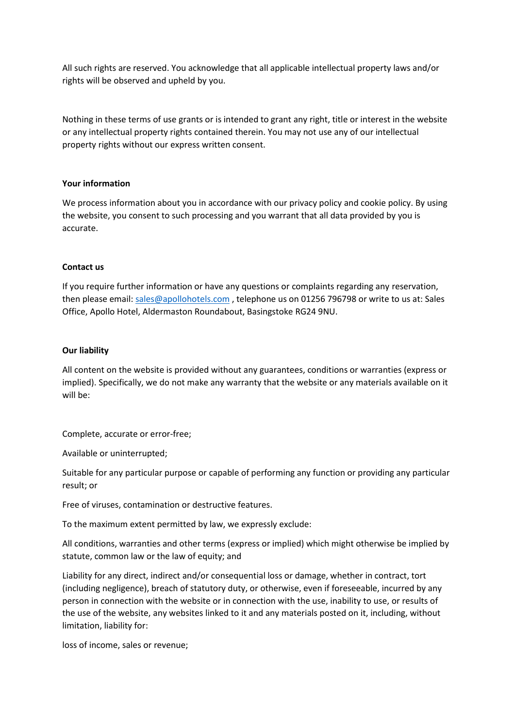All such rights are reserved. You acknowledge that all applicable intellectual property laws and/or rights will be observed and upheld by you.

Nothing in these terms of use grants or is intended to grant any right, title or interest in the website or any intellectual property rights contained therein. You may not use any of our intellectual property rights without our express written consent.

## **Your information**

We process information about you in accordance with our privacy policy and cookie policy. By using the website, you consent to such processing and you warrant that all data provided by you is accurate.

### **Contact us**

If you require further information or have any questions or complaints regarding any reservation, then please email: [sales@apollohotels.com](mailto:sales@apollohotels.com) , telephone us on 01256 796798 or write to us at: Sales Office, Apollo Hotel, Aldermaston Roundabout, Basingstoke RG24 9NU.

#### **Our liability**

All content on the website is provided without any guarantees, conditions or warranties (express or implied). Specifically, we do not make any warranty that the website or any materials available on it will be:

Complete, accurate or error-free;

Available or uninterrupted;

Suitable for any particular purpose or capable of performing any function or providing any particular result; or

Free of viruses, contamination or destructive features.

To the maximum extent permitted by law, we expressly exclude:

All conditions, warranties and other terms (express or implied) which might otherwise be implied by statute, common law or the law of equity; and

Liability for any direct, indirect and/or consequential loss or damage, whether in contract, tort (including negligence), breach of statutory duty, or otherwise, even if foreseeable, incurred by any person in connection with the website or in connection with the use, inability to use, or results of the use of the website, any websites linked to it and any materials posted on it, including, without limitation, liability for:

loss of income, sales or revenue;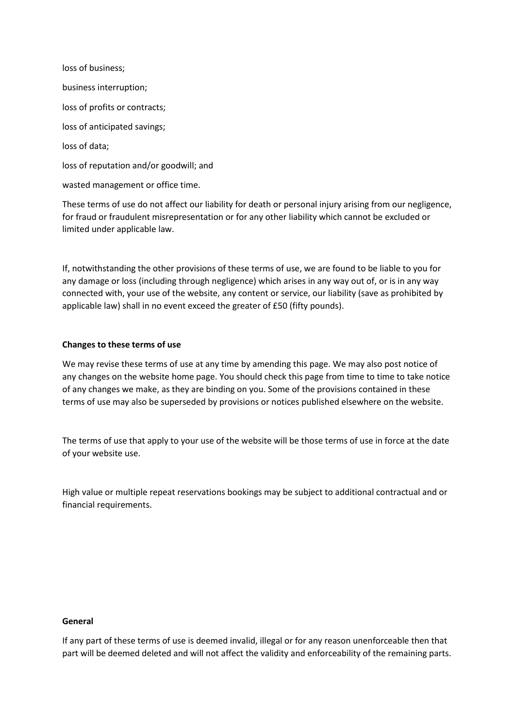loss of business; business interruption; loss of profits or contracts; loss of anticipated savings; loss of data; loss of reputation and/or goodwill; and wasted management or office time.

These terms of use do not affect our liability for death or personal injury arising from our negligence, for fraud or fraudulent misrepresentation or for any other liability which cannot be excluded or limited under applicable law.

If, notwithstanding the other provisions of these terms of use, we are found to be liable to you for any damage or loss (including through negligence) which arises in any way out of, or is in any way connected with, your use of the website, any content or service, our liability (save as prohibited by applicable law) shall in no event exceed the greater of £50 (fifty pounds).

## **Changes to these terms of use**

We may revise these terms of use at any time by amending this page. We may also post notice of any changes on the website home page. You should check this page from time to time to take notice of any changes we make, as they are binding on you. Some of the provisions contained in these terms of use may also be superseded by provisions or notices published elsewhere on the website.

The terms of use that apply to your use of the website will be those terms of use in force at the date of your website use.

High value or multiple repeat reservations bookings may be subject to additional contractual and or financial requirements.

#### **General**

If any part of these terms of use is deemed invalid, illegal or for any reason unenforceable then that part will be deemed deleted and will not affect the validity and enforceability of the remaining parts.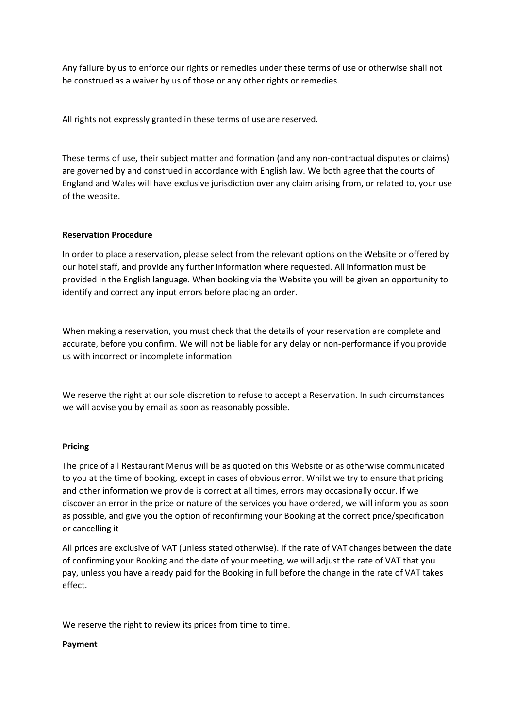Any failure by us to enforce our rights or remedies under these terms of use or otherwise shall not be construed as a waiver by us of those or any other rights or remedies.

All rights not expressly granted in these terms of use are reserved.

These terms of use, their subject matter and formation (and any non-contractual disputes or claims) are governed by and construed in accordance with English law. We both agree that the courts of England and Wales will have exclusive jurisdiction over any claim arising from, or related to, your use of the website.

# **Reservation Procedure**

In order to place a reservation, please select from the relevant options on the Website or offered by our hotel staff, and provide any further information where requested. All information must be provided in the English language. When booking via the Website you will be given an opportunity to identify and correct any input errors before placing an order.

When making a reservation, you must check that the details of your reservation are complete and accurate, before you confirm. We will not be liable for any delay or non-performance if you provide us with incorrect or incomplete information.

We reserve the right at our sole discretion to refuse to accept a Reservation. In such circumstances we will advise you by email as soon as reasonably possible.

## **Pricing**

The price of all Restaurant Menus will be as quoted on this Website or as otherwise communicated to you at the time of booking, except in cases of obvious error. Whilst we try to ensure that pricing and other information we provide is correct at all times, errors may occasionally occur. If we discover an error in the price or nature of the services you have ordered, we will inform you as soon as possible, and give you the option of reconfirming your Booking at the correct price/specification or cancelling it

All prices are exclusive of VAT (unless stated otherwise). If the rate of VAT changes between the date of confirming your Booking and the date of your meeting, we will adjust the rate of VAT that you pay, unless you have already paid for the Booking in full before the change in the rate of VAT takes effect.

We reserve the right to review its prices from time to time.

## **Payment**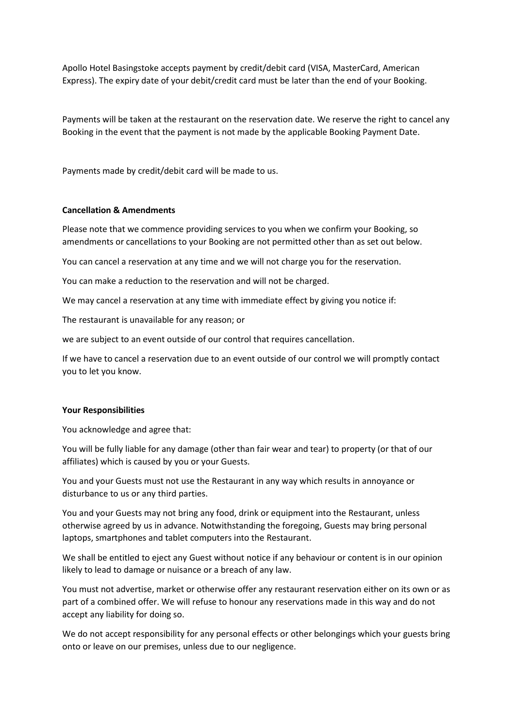Apollo Hotel Basingstoke accepts payment by credit/debit card (VISA, MasterCard, American Express). The expiry date of your debit/credit card must be later than the end of your Booking.

Payments will be taken at the restaurant on the reservation date. We reserve the right to cancel any Booking in the event that the payment is not made by the applicable Booking Payment Date.

Payments made by credit/debit card will be made to us.

### **Cancellation & Amendments**

Please note that we commence providing services to you when we confirm your Booking, so amendments or cancellations to your Booking are not permitted other than as set out below.

You can cancel a reservation at any time and we will not charge you for the reservation.

You can make a reduction to the reservation and will not be charged.

We may cancel a reservation at any time with immediate effect by giving you notice if:

The restaurant is unavailable for any reason; or

we are subject to an event outside of our control that requires cancellation.

If we have to cancel a reservation due to an event outside of our control we will promptly contact you to let you know.

#### **Your Responsibilities**

You acknowledge and agree that:

You will be fully liable for any damage (other than fair wear and tear) to property (or that of our affiliates) which is caused by you or your Guests.

You and your Guests must not use the Restaurant in any way which results in annoyance or disturbance to us or any third parties.

You and your Guests may not bring any food, drink or equipment into the Restaurant, unless otherwise agreed by us in advance. Notwithstanding the foregoing, Guests may bring personal laptops, smartphones and tablet computers into the Restaurant.

We shall be entitled to eject any Guest without notice if any behaviour or content is in our opinion likely to lead to damage or nuisance or a breach of any law.

You must not advertise, market or otherwise offer any restaurant reservation either on its own or as part of a combined offer. We will refuse to honour any reservations made in this way and do not accept any liability for doing so.

We do not accept responsibility for any personal effects or other belongings which your guests bring onto or leave on our premises, unless due to our negligence.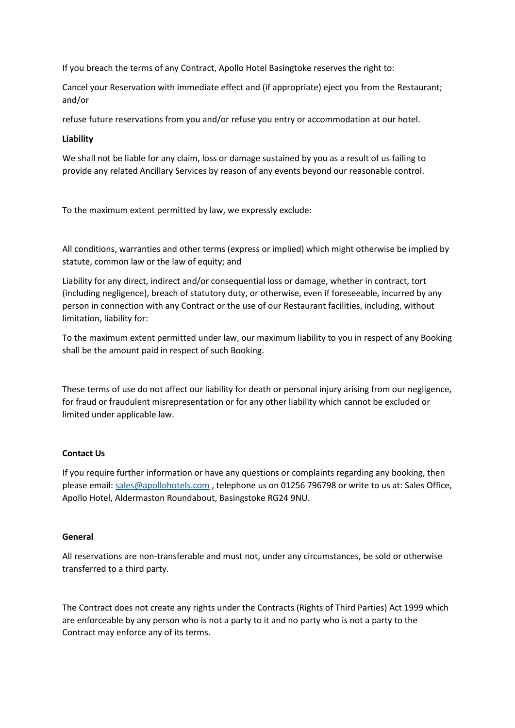If you breach the terms of any Contract, Apollo Hotel Basingtoke reserves the right to:

Cancel your Reservation with immediate effect and (if appropriate) eject you from the Restaurant; and/or

refuse future reservations from you and/or refuse you entry or accommodation at our hotel.

# **Liability**

We shall not be liable for any claim, loss or damage sustained by you as a result of us failing to provide any related Ancillary Services by reason of any events beyond our reasonable control.

To the maximum extent permitted by law, we expressly exclude:

All conditions, warranties and other terms (express or implied) which might otherwise be implied by statute, common law or the law of equity; and

Liability for any direct, indirect and/or consequential loss or damage, whether in contract, tort (including negligence), breach of statutory duty, or otherwise, even if foreseeable, incurred by any person in connection with any Contract or the use of our Restaurant facilities, including, without limitation, liability for:

To the maximum extent permitted under law, our maximum liability to you in respect of any Booking shall be the amount paid in respect of such Booking.

These terms of use do not affect our liability for death or personal injury arising from our negligence, for fraud or fraudulent misrepresentation or for any other liability which cannot be excluded or limited under applicable law.

## **Contact Us**

If you require further information or have any questions or complaints regarding any booking, then please email: [sales@apollohotels.com](mailto:sales@apollohotels.com) , telephone us on 01256 796798 or write to us at: Sales Office, Apollo Hotel, Aldermaston Roundabout, Basingstoke RG24 9NU.

## **General**

All reservations are non-transferable and must not, under any circumstances, be sold or otherwise transferred to a third party.

The Contract does not create any rights under the Contracts (Rights of Third Parties) Act 1999 which are enforceable by any person who is not a party to it and no party who is not a party to the Contract may enforce any of its terms.